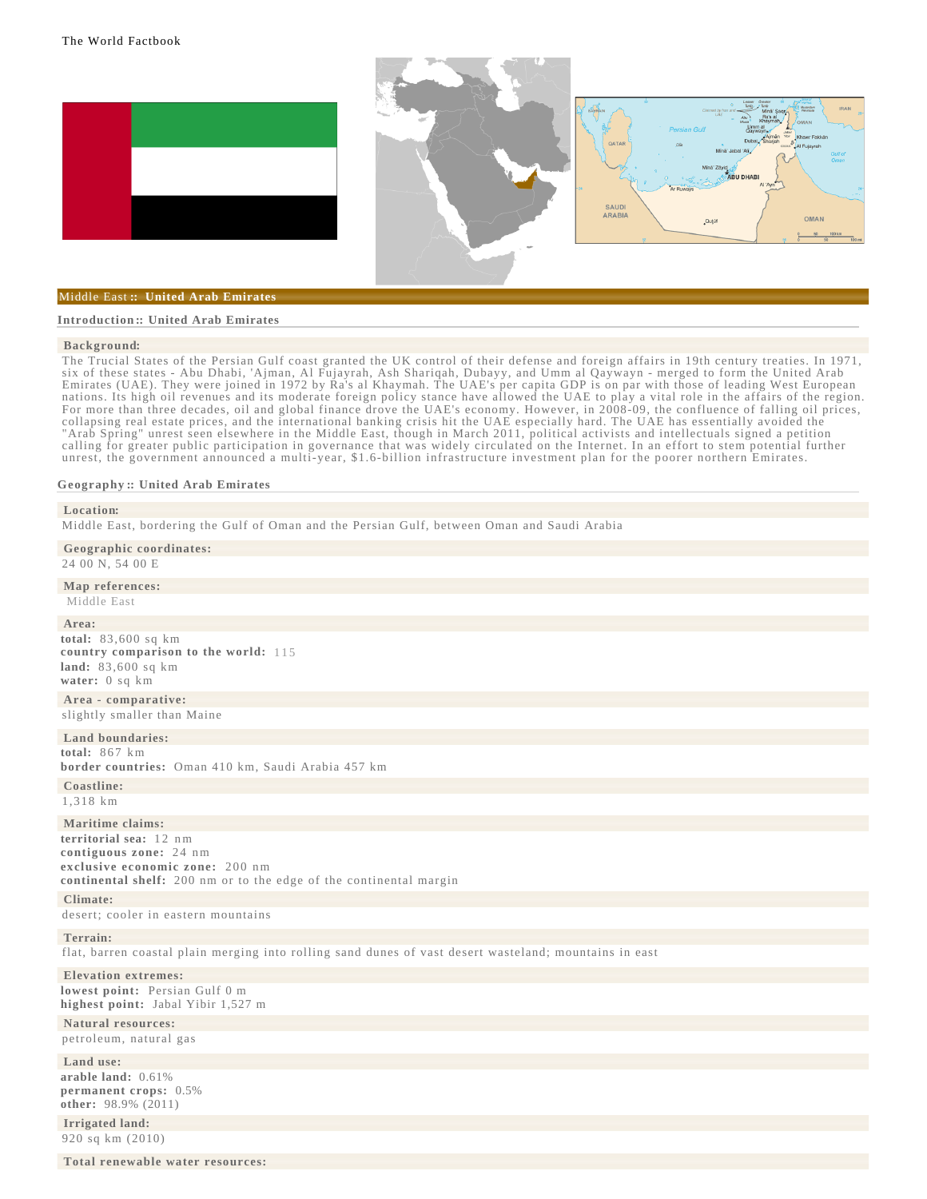





### [Middle East](file:/data/1/apps/httpd/htdocs/client_review/WFB_template_2013/wfbInt/region_mde.html) **:: United Arab Emirates**

#### **[Introduction ::](javascript:void();) [United Arab Emirates](javascript:void();)**

### **[Background](file:/data/1/apps/httpd/htdocs/client_review/WFB_template_2013/docs/notesanddefs.html?fieldkey=2028&alphaletter=B&term=Background):**

The Trucial States of the Persian Gulf coast granted the UK control of their defense and foreign affairs in 19th century treaties. In 1971, six of these states - Abu Dhabi, 'Ajman, Al Fujayrah, Ash Shariqah, Dubayy, and Umm al Qaywayn - merged to form the United Arab Emirates (UAE). They were joined in 1972 by Ra's al Khaymah. The UAE's per capita GDP is on par with those of leading West European nations. Its high oil revenues and its moderate foreign policy stance have allowed the UAE to play a vital role in the affairs of the region. For more than three decades, oil and global finance drove the UAE's economy. However, in 2008-09, the confluence of falling oil prices, collapsing real estate prices, and the international banking crisis hit the UAE especially hard. The UAE has essentially avoided the "Arab Spring" unrest seen elsewhere in the Middle East, though in March 2011, political activists and intellectuals signed a petition calling for greater public participation in governance that was widely circulated on the Internet. In an effort to stem potential further unrest, the government announced a multi-year, \$1.6-billion infrastructure investment plan for the poorer northern Emirates.

## **[Geography ::](javascript:void();) [United Arab Emirates](javascript:void();)**

| Location:<br>Middle East, bordering the Gulf of Oman and the Persian Gulf, between Oman and Saudi Arabia                                                                      |
|-------------------------------------------------------------------------------------------------------------------------------------------------------------------------------|
| Geographic coordinates:<br>24 00 N, 54 00 E                                                                                                                                   |
| Map references:<br>Middle East                                                                                                                                                |
| Area:<br>total: $83,600$ sq km<br>country comparison to the world: 115<br>land: $83,600$ sq km<br>water: 0 sq km                                                              |
| Area - comparative:<br>slightly smaller than Maine                                                                                                                            |
| Land boundaries:<br>total: $867 \text{ km}$<br>border countries: Oman 410 km, Saudi Arabia 457 km                                                                             |
| Coastline:<br>1.318 km                                                                                                                                                        |
| Maritime claims:<br>territorial sea: 12 nm<br>contiguous zone: 24 nm<br>exclusive economic zone: 200 nm<br>continental shelf: 200 nm or to the edge of the continental margin |
| Climate:<br>desert; cooler in eastern mountains                                                                                                                               |
| Terrain:<br>flat, barren coastal plain merging into rolling sand dunes of vast desert wasteland; mountains in east                                                            |
| <b>Elevation extremes:</b><br>lowest point: Persian Gulf 0 m<br>highest point: Jabal Yibir 1,527 m                                                                            |
| <b>Natural resources:</b><br>petroleum, natural gas                                                                                                                           |
| Land use:<br>arable land: 0.61%<br>permanent crops: 0.5%<br>other: $98.9\%$ (2011)                                                                                            |
| Irrigated land:<br>920 sq km (2010)                                                                                                                                           |
| Total renewable water resources:                                                                                                                                              |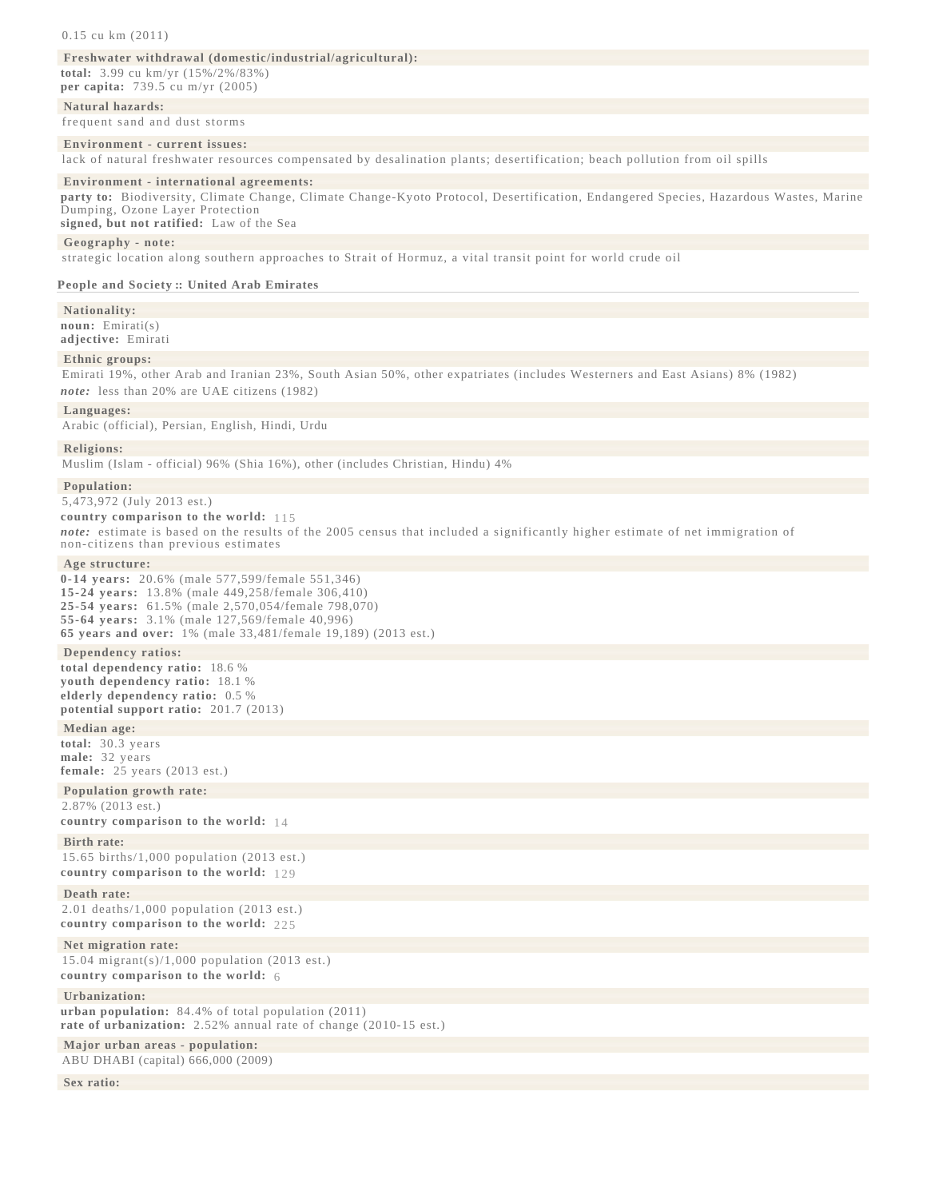### 0.15 cu km (2011)

# **[Freshwater withdrawal \(domestic/industrial/agricultural\):](file:/data/1/apps/httpd/htdocs/client_review/WFB_template_2013/docs/notesanddefs.html?fieldkey=2202&alphaletter=F&term=Freshwater withdrawal (domestic/industrial/agricultural))**

**total:** 3.99 cu km/yr (15%/2%/83%) **per capita:** 739.5 cu m/yr (2005)

# **[Natural hazards:](file:/data/1/apps/httpd/htdocs/client_review/WFB_template_2013/docs/notesanddefs.html?fieldkey=2021&alphaletter=N&term=Natural hazards)**

frequent sand and dust storms

### **[Environment - current issues:](file:/data/1/apps/httpd/htdocs/client_review/WFB_template_2013/docs/notesanddefs.html?fieldkey=2032&alphaletter=E&term=Environment - current issues)**

lack of natural freshwater resources compensated by desalination plants; desertification; beach pollution from oil spills

## **[Environment - international agreements:](file:/data/1/apps/httpd/htdocs/client_review/WFB_template_2013/docs/notesanddefs.html?fieldkey=2033&alphaletter=E&term=Environment - international agreements)**

**party to:** Biodiversity, Climate Change, Climate Change-Kyoto Protocol, Desertification, Endangered Species, Hazardous Wastes, Marine Dumping, Ozone Layer Protection

**signed, but not ratified:** Law of the Sea

## **[Geography - note:](file:/data/1/apps/httpd/htdocs/client_review/WFB_template_2013/docs/notesanddefs.html?fieldkey=2113&alphaletter=G&term=Geography - note)**

strategic location along southern approaches to Strait of Hormuz, a vital transit point for world crude oil

### **[People and Society ::](javascript:void();) [United Arab Emirates](javascript:void();)**

**[Nationality](file:/data/1/apps/httpd/htdocs/client_review/WFB_template_2013/docs/notesanddefs.html?fieldkey=2110&alphaletter=N&term=Nationality):** 

**noun:** Emirati(s) **adjective:** Emirati

### **[Ethnic groups:](file:/data/1/apps/httpd/htdocs/client_review/WFB_template_2013/docs/notesanddefs.html?fieldkey=2075&alphaletter=E&term=Ethnic groups)**

Emirati 19%, other Arab and Iranian 23%, South Asian 50%, other expatriates (includes Westerners and East Asians) 8% (1982) *note:* less than 20% are UAE citizens (1982)

### **[Languages:](file:/data/1/apps/httpd/htdocs/client_review/WFB_template_2013/docs/notesanddefs.html?fieldkey=2098&alphaletter=L&term=Languages)**

Arabic (official), Persian, English, Hindi, Urdu

### **[Religions:](file:/data/1/apps/httpd/htdocs/client_review/WFB_template_2013/docs/notesanddefs.html?fieldkey=2122&alphaletter=R&term=Religions)**

Muslim (Islam - official) 96% (Shia 16%), other (includes Christian, Hindu) 4%

**[Population:](file:/data/1/apps/httpd/htdocs/client_review/WFB_template_2013/docs/notesanddefs.html?fieldkey=2119&alphaletter=P&term=Population)** 5,473,972 (July 2013 est.)

**country comparison to the world:** [115](file:/data/1/apps/httpd/htdocs/client_review/WFB_template_2013/rankorder/2119rank.html?countryname=United Arab Emirates&countrycode=AE®ionCode=mde&rank=115#AE)  *note:* estimate is based on the results of the 2005 census that included a significantly higher estimate of net immigration of non-citizens than previous estimates

# **[Age structure:](file:/data/1/apps/httpd/htdocs/client_review/WFB_template_2013/docs/notesanddefs.html?fieldkey=2010&alphaletter=A&term=Age structure)**

**0-14 years:** 20.6% (male 577,599/female 551,346) **15-24 years:** 13.8% (male 449,258/female 306,410) **25-54 years:** 61.5% (male 2,570,054/female 798,070) **55-64 years:** 3.1% (male 127,569/female 40,996) **65 years and over:** 1% (male 33,481/female 19,189) (2013 est.)

### **[Dependency ratios:](file:/data/1/apps/httpd/htdocs/client_review/WFB_template_2013/docs/notesanddefs.html?fieldkey=2261&alphaletter=D&term=Dependency ratios)**

**total dependency ratio:** 18.6 % **youth dependency ratio:** 18.1 % **elderly dependency ratio:** 0.5 % **potential support ratio:** 201.7 (2013)

**[Median age:](file:/data/1/apps/httpd/htdocs/client_review/WFB_template_2013/docs/notesanddefs.html?fieldkey=2177&alphaletter=M&term=Median age) total:** 30.3 years **male:** 32 years **female:** 25 years (2013 est.)

# **[Population growth rate:](file:/data/1/apps/httpd/htdocs/client_review/WFB_template_2013/docs/notesanddefs.html?fieldkey=2002&alphaletter=P&term=Population growth rate)**

2.87% (2013 est.) **country comparison to the world:** [14](file:/data/1/apps/httpd/htdocs/client_review/WFB_template_2013/rankorder/2002rank.html?countryname=United Arab Emirates&countrycode=AE®ionCode=mde&rank=14#AE) 

# **[Birth rate:](file:/data/1/apps/httpd/htdocs/client_review/WFB_template_2013/docs/notesanddefs.html?fieldkey=2054&alphaletter=B&term=Birth rate)**

15.65 births/1,000 population (2013 est.) **country comparison to the world:** [129](file:/data/1/apps/httpd/htdocs/client_review/WFB_template_2013/rankorder/2054rank.html?countryname=United Arab Emirates&countrycode=AE®ionCode=mde&rank=129#AE) 

# **[Death rate:](file:/data/1/apps/httpd/htdocs/client_review/WFB_template_2013/docs/notesanddefs.html?fieldkey=2066&alphaletter=D&term=Death rate)**

2.01 deaths/1,000 population (2013 est.) **country comparison to the world:** [225](file:/data/1/apps/httpd/htdocs/client_review/WFB_template_2013/rankorder/2066rank.html?countryname=United Arab Emirates&countrycode=AE®ionCode=mde&rank=225#AE) 

# **[Net migration rate:](file:/data/1/apps/httpd/htdocs/client_review/WFB_template_2013/docs/notesanddefs.html?fieldkey=2112&alphaletter=N&term=Net migration rate)**

15.04 migrant(s)/1,000 population (2013 est.) **country comparison to the world:** [6](file:/data/1/apps/httpd/htdocs/client_review/WFB_template_2013/rankorder/2112rank.html?countryname=United Arab Emirates&countrycode=AE®ionCode=mde&rank=6#AE) 

# **[Urbanization:](file:/data/1/apps/httpd/htdocs/client_review/WFB_template_2013/docs/notesanddefs.html?fieldkey=2212&alphaletter=U&term=Urbanization)**

**urban population:** 84.4% of total population (2011) **rate of urbanization:** 2.52% annual rate of change (2010-15 est.)

**[Major urban areas - population:](file:/data/1/apps/httpd/htdocs/client_review/WFB_template_2013/docs/notesanddefs.html?fieldkey=2219&alphaletter=M&term=Major urban areas - population)** ABU DHABI (capital) 666,000 (2009)

**[Sex ratio:](file:/data/1/apps/httpd/htdocs/client_review/WFB_template_2013/docs/notesanddefs.html?fieldkey=2018&alphaletter=S&term=Sex ratio)**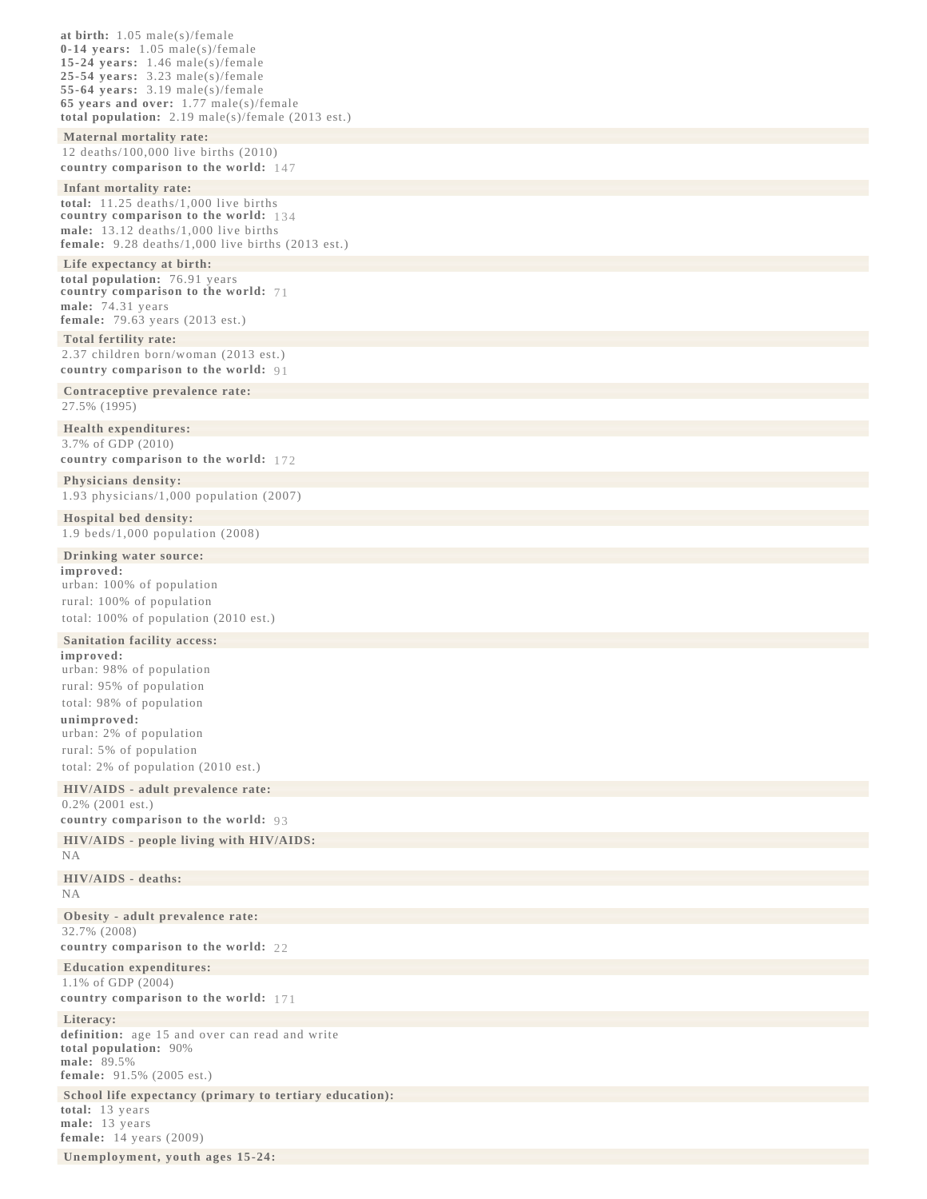**at birth:** 1.05 male(s)/female **0-14 years:** 1.05 male(s)/female **15-24 years:** 1.46 male(s)/female **25-54 years:** 3.23 male(s)/female **55-64 years:** 3.19 male(s)/female **65 years and over:** 1.77 male(s)/female **total population:** 2.19 male(s)/female (2013 est.) **[Maternal mortality rate:](file:/data/1/apps/httpd/htdocs/client_review/WFB_template_2013/docs/notesanddefs.html?fieldkey=2223&alphaletter=M&term=Maternal mortality rate)** 12 deaths/100,000 live births (2010) **country comparison to the world:** [147](file:/data/1/apps/httpd/htdocs/client_review/WFB_template_2013/rankorder/2223rank.html?countryname=United Arab Emirates&countrycode=AE®ionCode=mde&rank=147#AE)  **[Infant mortality rate:](file:/data/1/apps/httpd/htdocs/client_review/WFB_template_2013/docs/notesanddefs.html?fieldkey=2091&alphaletter=I&term=Infant mortality rate) total:** 11.25 deaths/1,000 live births **country comparison to the world:** [134](file:/data/1/apps/httpd/htdocs/client_review/WFB_template_2013/rankorder/2091rank.html?countryname=United Arab Emirates&countrycode=AE®ionCode=mde&rank=134#AE)  **male:** 13.12 deaths/1,000 live births **female:** 9.28 deaths/1,000 live births (2013 est.) **[Life expectancy at birth:](file:/data/1/apps/httpd/htdocs/client_review/WFB_template_2013/docs/notesanddefs.html?fieldkey=2102&alphaletter=L&term=Life expectancy at birth) total population:** 76.91 years **country comparison to the world:** [71](file:/data/1/apps/httpd/htdocs/client_review/WFB_template_2013/rankorder/2102rank.html?countryname=United Arab Emirates&countrycode=AE®ionCode=mde&rank=71#AE)  **male:** 74.31 years **female:** 79.63 years (2013 est.) **[Total fertility rate:](file:/data/1/apps/httpd/htdocs/client_review/WFB_template_2013/docs/notesanddefs.html?fieldkey=2127&alphaletter=T&term=Total fertility rate)** 2.37 children born/woman (2013 est.) **country comparison to the world:** [91](file:/data/1/apps/httpd/htdocs/client_review/WFB_template_2013/rankorder/2127rank.html?countryname=United Arab Emirates&countrycode=AE®ionCode=mde&rank=91#AE)  **[Contraceptive prevalence rate:](file:/data/1/apps/httpd/htdocs/client_review/WFB_template_2013/docs/notesanddefs.html?fieldkey=2258&alphaletter=C&term=Contraceptive prevalence rate)** 27.5% (1995) **[Health expenditures:](file:/data/1/apps/httpd/htdocs/client_review/WFB_template_2013/docs/notesanddefs.html?fieldkey=2225&alphaletter=H&term=Health expenditures)** 3.7% of GDP (2010) **country comparison to the world:** [172](file:/data/1/apps/httpd/htdocs/client_review/WFB_template_2013/rankorder/2225rank.html?countryname=United Arab Emirates&countrycode=AE®ionCode=mde&rank=172#AE)  **[Physicians density:](file:/data/1/apps/httpd/htdocs/client_review/WFB_template_2013/docs/notesanddefs.html?fieldkey=2226&alphaletter=P&term=Physicians density)** 1.93 physicians/1,000 population (2007) **[Hospital bed density:](file:/data/1/apps/httpd/htdocs/client_review/WFB_template_2013/docs/notesanddefs.html?fieldkey=2227&alphaletter=H&term=Hospital bed density)** 1.9 beds/1,000 population (2008) **[Drinking water source:](file:/data/1/apps/httpd/htdocs/client_review/WFB_template_2013/docs/notesanddefs.html?fieldkey=2216&alphaletter=D&term=Drinking water source) improved:**  urban: 100% of population rural: 100% of population total: 100% of population (2010 est.) **[Sanitation facility access:](file:/data/1/apps/httpd/htdocs/client_review/WFB_template_2013/docs/notesanddefs.html?fieldkey=2217&alphaletter=S&term=Sanitation facility access) improved:**  urban: 98% of population rural: 95% of population total: 98% of population **unimproved:**  urban: 2% of population rural: 5% of population total: 2% of population (2010 est.) **[HIV/AIDS - adult prevalence rate:](file:/data/1/apps/httpd/htdocs/client_review/WFB_template_2013/docs/notesanddefs.html?fieldkey=2155&alphaletter=H&term=HIV/AIDS - adult prevalence rate)** 0.2% (2001 est.) **country comparison to the world:** [93](file:/data/1/apps/httpd/htdocs/client_review/WFB_template_2013/rankorder/2155rank.html?countryname=United Arab Emirates&countrycode=AE®ionCode=mde&rank=93#AE)  **[HIV/AIDS - people living with HIV/AIDS:](file:/data/1/apps/httpd/htdocs/client_review/WFB_template_2013/docs/notesanddefs.html?fieldkey=2156&alphaletter=H&term=HIV/AIDS - people living with HIV/AIDS)** NA **[HIV/AIDS - deaths:](file:/data/1/apps/httpd/htdocs/client_review/WFB_template_2013/docs/notesanddefs.html?fieldkey=2157&alphaletter=H&term=HIV/AIDS - deaths)** NA **[Obesity - adult prevalence rate:](file:/data/1/apps/httpd/htdocs/client_review/WFB_template_2013/docs/notesanddefs.html?fieldkey=2228&alphaletter=O&term=Obesity - adult prevalence rate)** 32.7% (2008) **country comparison to the world:** [22](file:/data/1/apps/httpd/htdocs/client_review/WFB_template_2013/rankorder/2228rank.html?countryname=United Arab Emirates&countrycode=AE®ionCode=mde&rank=22#AE)  **[Education expenditures:](file:/data/1/apps/httpd/htdocs/client_review/WFB_template_2013/docs/notesanddefs.html?fieldkey=2206&alphaletter=E&term=Education expenditures)** 1.1% of GDP (2004) **country comparison to the world:** [171](file:/data/1/apps/httpd/htdocs/client_review/WFB_template_2013/rankorder/2206rank.html?countryname=United Arab Emirates&countrycode=AE®ionCode=mde&rank=171#AE)  **[Literacy:](file:/data/1/apps/httpd/htdocs/client_review/WFB_template_2013/docs/notesanddefs.html?fieldkey=2103&alphaletter=L&term=Literacy) definition:** age 15 and over can read and write **total population:** 90% **male:** 89.5% **female:** 91.5% (2005 est.) **[School life expectancy \(primary to tertiary education\):](file:/data/1/apps/httpd/htdocs/client_review/WFB_template_2013/docs/notesanddefs.html?fieldkey=2205&alphaletter=S&term=School life expectancy (primary to tertiary education)) total:** 13 years **male:** 13 years **female:** 14 years (2009)

**[Unemployment, youth ages 15-24:](file:/data/1/apps/httpd/htdocs/client_review/WFB_template_2013/docs/notesanddefs.html?fieldkey=2229&alphaletter=U&term=Unemployment, youth ages 15-24)**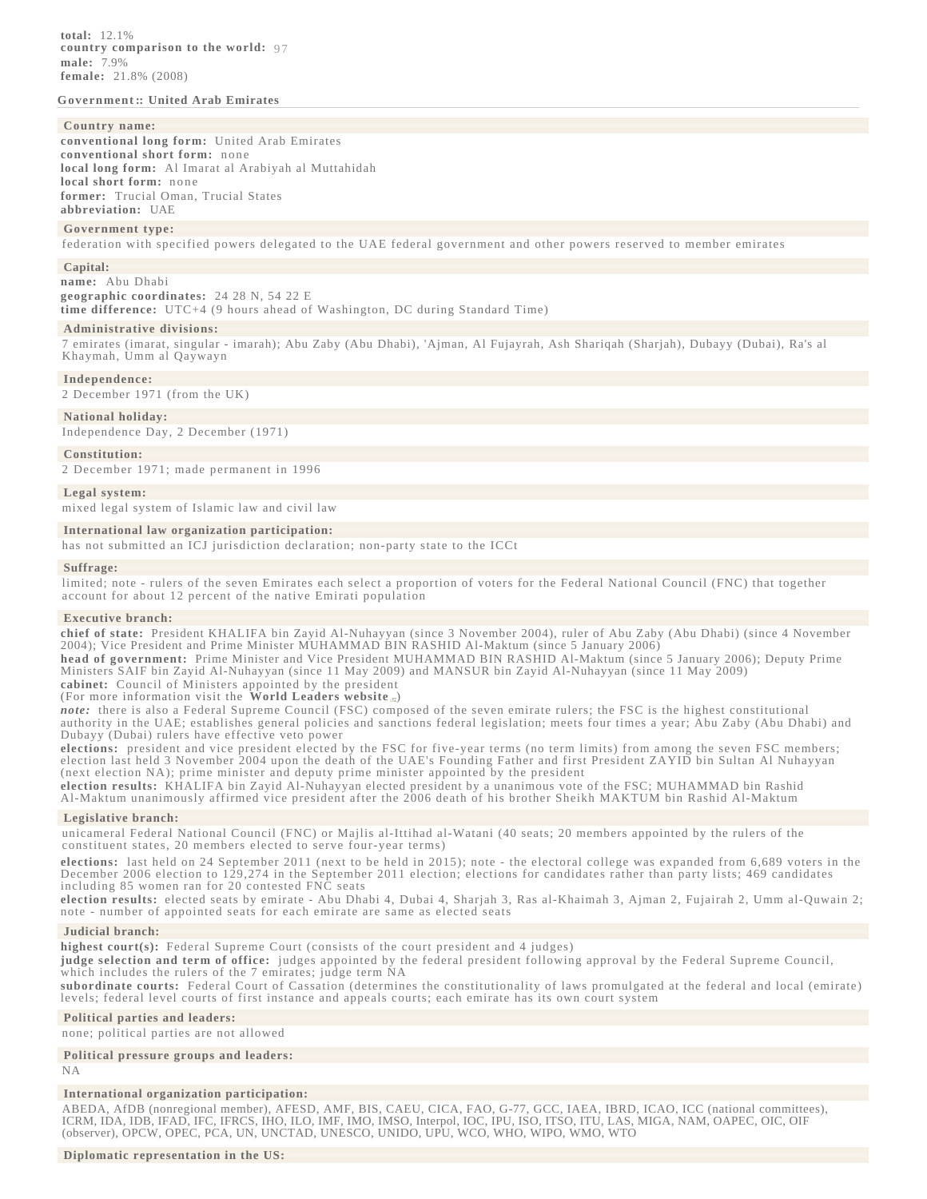# **[Government ::](javascript:void();) [United Arab Emirates](javascript:void();)**

### **[Country name](file:/data/1/apps/httpd/htdocs/client_review/WFB_template_2013/docs/notesanddefs.html?fieldkey=2142&alphaletter=C&term=Country name):**

**conventional long form:** United Arab Emirates **conventional short form:** none **local long form:** Al Imarat al Arabiyah al Muttahidah **local short form:** none **former:** Trucial Oman, Trucial States **abbreviation:** UAE

#### **[Government type:](file:/data/1/apps/httpd/htdocs/client_review/WFB_template_2013/docs/notesanddefs.html?fieldkey=2128&alphaletter=G&term=Government type)**

federation with specified powers delegated to the UAE federal government and other powers reserved to member emirates

#### **[Capital:](file:/data/1/apps/httpd/htdocs/client_review/WFB_template_2013/docs/notesanddefs.html?fieldkey=2057&alphaletter=C&term=Capital)**

**name:** Abu Dhabi **geographic coordinates:** 24 28 N, 54 22 E

**time difference:** UTC+4 (9 hours ahead of Washington, DC during Standard Time)

#### **[Administrative divisions:](file:/data/1/apps/httpd/htdocs/client_review/WFB_template_2013/docs/notesanddefs.html?fieldkey=2051&alphaletter=A&term=Administrative divisions)**

7 emirates (imarat, singular - imarah); Abu Zaby (Abu Dhabi), 'Ajman, Al Fujayrah, Ash Shariqah (Sharjah), Dubayy (Dubai), Ra's al Khaymah, Umm al Qaywayn

#### **[Independence:](file:/data/1/apps/httpd/htdocs/client_review/WFB_template_2013/docs/notesanddefs.html?fieldkey=2088&alphaletter=I&term=Independence)**

2 December 1971 (from the UK)

#### **[National holiday:](file:/data/1/apps/httpd/htdocs/client_review/WFB_template_2013/docs/notesanddefs.html?fieldkey=2109&alphaletter=N&term=National holiday)**

Independence Day, 2 December (1971)

#### **[Constitution:](file:/data/1/apps/httpd/htdocs/client_review/WFB_template_2013/docs/notesanddefs.html?fieldkey=2063&alphaletter=C&term=Constitution)**

2 December 1971; made permanent in 1996

#### **[Legal system:](file:/data/1/apps/httpd/htdocs/client_review/WFB_template_2013/docs/notesanddefs.html?fieldkey=2100&alphaletter=L&term=Legal system)**

mixed legal system of Islamic law and civil law

### **[International law organization participation:](file:/data/1/apps/httpd/htdocs/client_review/WFB_template_2013/docs/notesanddefs.html?fieldkey=2220&alphaletter=I&term=International law organization participation)**

has not submitted an ICJ jurisdiction declaration; non-party state to the ICCt

#### **[Suffrage:](file:/data/1/apps/httpd/htdocs/client_review/WFB_template_2013/docs/notesanddefs.html?fieldkey=2123&alphaletter=S&term=Suffrage)**

limited; note - rulers of the seven Emirates each select a proportion of voters for the Federal National Council (FNC) that together account for about 12 percent of the native Emirati population

#### **[Executive branch:](file:/data/1/apps/httpd/htdocs/client_review/WFB_template_2013/docs/notesanddefs.html?fieldkey=2077&alphaletter=E&term=Executive branch)**

**chief of state:** President KHALIFA bin Zayid Al-Nuhayyan (since 3 November 2004), ruler of Abu Zaby (Abu Dhabi) (since 4 November 2004); Vice President and Prime Minister MUHAMMAD BIN RASHID Al-Maktum (since 5 January 2006)

**head of government:** Prime Minister and Vice President MUHAMMAD BIN RASHID Al-Maktum (since 5 January 2006); Deputy Prime Ministers SAIF bin Zayid Al-Nuhayyan (since 11 May 2009) and MANSUR bin Zayid Al-Nuhayyan (since 11 May 2009)

# **cabinet:** Council of Ministers appointed by the president

(For more information visit the **[World Leaders website](file:/library/publications/world-leaders-1/index.html)** *note:* there is also a Federal Supreme Council (FSC) composed of the seven emirate rulers; the FSC is the highest constitutional authority in the UAE; establishes general policies and sanctions federal legislation; meets four times a year; Abu Zaby (Abu Dhabi) and

Dubayy (Dubai) rulers have effective veto power

**elections:** president and vice president elected by the FSC for five-year terms (no term limits) from among the seven FSC members; election last held 3 November 2004 upon the death of the UAE's Founding Father and first President ZAYID bin Sultan Al Nuhayyan (next election NA); prime minister and deputy prime minister appointed by the president

**election results:** KHALIFA bin Zayid Al-Nuhayyan elected president by a unanimous vote of the FSC; MUHAMMAD bin Rashid Al-Maktum unanimously affirmed vice president after the 2006 death of his brother Sheikh MAKTUM bin Rashid Al-Maktum

### **[Legislative branch:](file:/data/1/apps/httpd/htdocs/client_review/WFB_template_2013/docs/notesanddefs.html?fieldkey=2101&alphaletter=L&term=Legislative branch)**

unicameral Federal National Council (FNC) or Majlis al-Ittihad al-Watani (40 seats; 20 members appointed by the rulers of the constituent states, 20 members elected to serve four-year terms)

**elections:** last held on 24 September 2011 (next to be held in 2015); note - the electoral college was expanded from 6,689 voters in the December 2006 election to 129,274 in the September 2011 election; elections for candidates rather than party lists; 469 candidates including 85 women ran for 20 contested FNC seats

**election results:** elected seats by emirate - Abu Dhabi 4, Dubai 4, Sharjah 3, Ras al-Khaimah 3, Ajman 2, Fujairah 2, Umm al-Quwain 2; note - number of appointed seats for each emirate are same as elected seats

### **[Judicial branch:](file:/data/1/apps/httpd/htdocs/client_review/WFB_template_2013/docs/notesanddefs.html?fieldkey=2094&alphaletter=J&term=Judicial branch)**

**highest court(s):** Federal Supreme Court (consists of the court president and 4 judges)

**judge selection and term of office:** judges appointed by the federal president following approval by the Federal Supreme Council, which includes the rulers of the 7 emirates; judge term NA

**subordinate courts:** Federal Court of Cassation (determines the constitutionality of laws promulgated at the federal and local (emirate) levels; federal level courts of first instance and appeals courts; each emirate has its own court system

#### **[Political parties and leaders:](file:/data/1/apps/httpd/htdocs/client_review/WFB_template_2013/docs/notesanddefs.html?fieldkey=2118&alphaletter=P&term=Political parties and leaders)**

none; political parties are not allowed

### **[Political pressure groups and leaders:](file:/data/1/apps/httpd/htdocs/client_review/WFB_template_2013/docs/notesanddefs.html?fieldkey=2115&alphaletter=P&term=Political pressure groups and leaders)**

NA

# **[International organization participation:](file:/data/1/apps/httpd/htdocs/client_review/WFB_template_2013/docs/notesanddefs.html?fieldkey=2107&alphaletter=I&term=International organization participation)**

ABEDA, AfDB (nonregional member), AFESD, AMF, BIS, CAEU, CICA, FAO, G-77, GCC, IAEA, IBRD, ICAO, ICC (national committees), ICRM, IDA, IDB, IFAD, IFC, IFRCS, IHO, ILO, IMF, IMO, IMSO, Interpol, IOC, IPU, ISO, ITSO, ITU, LAS, MIGA, NAM, OAPEC, OIC, OIF (observer), OPCW, OPEC, PCA, UN, UNCTAD, UNESCO, UNIDO, UPU, WCO, WHO, WIPO, WMO, WTO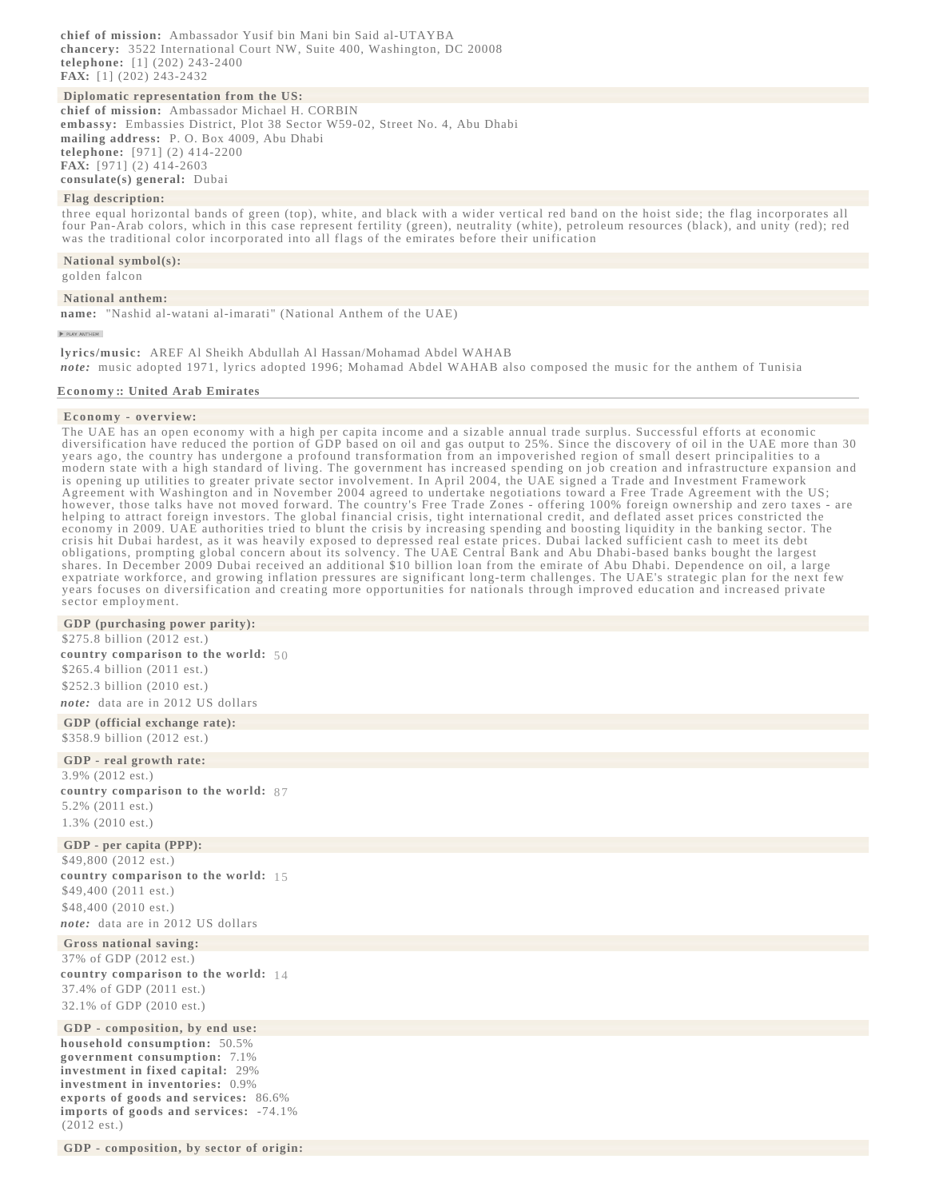**chief of mission:** Ambassador Yusif bin Mani bin Said al-UTAYBA **chancery:** 3522 International Court NW, Suite 400, Washington, DC 20008 **telephone:** [1] (202) 243-2400 **FAX:** [1] (202) 243-2432

## **[Diplomatic representation from the US:](file:/data/1/apps/httpd/htdocs/client_review/WFB_template_2013/docs/notesanddefs.html?fieldkey=2007&alphaletter=D&term=Diplomatic representation from the US)**

**chief of mission:** Ambassador Michael H. CORBIN **embassy:** Embassies District, Plot 38 Sector W59-02, Street No. 4, Abu Dhabi **mailing address:** P. O. Box 4009, Abu Dhabi **telephone:** [971] (2) 414-2200 **FAX:** [971] (2) 414-2603 **consulate(s) general:** Dubai

### **[Flag description:](file:/data/1/apps/httpd/htdocs/client_review/WFB_template_2013/docs/notesanddefs.html?fieldkey=2081&alphaletter=F&term=Flag description)**

three equal horizontal bands of green (top), white, and black with a wider vertical red band on the hoist side; the flag incorporates all four Pan-Arab colors, which in this case represent fertility (green), neutrality (white), petroleum resources (black), and unity (red); red was the traditional color incorporated into all flags of the emirates before their unification

#### **[National symbol\(s\):](file:/data/1/apps/httpd/htdocs/client_review/WFB_template_2013/docs/notesanddefs.html?fieldkey=2230&alphaletter=N&term=National symbol(s))**

golden falcon

### **[National anthem:](file:/data/1/apps/httpd/htdocs/client_review/WFB_template_2013/docs/notesanddefs.html?fieldkey=2218&alphaletter=N&term=National anthem)**

**name:** "Nashid al-watani al-imarati" (National Anthem of the UAE)

**PIAY ANTHEM** 

**lyrics/music:** AREF Al Sheikh Abdullah Al Hassan/Mohamad Abdel WAHAB *note:* music adopted 1971, lyrics adopted 1996; Mohamad Abdel WAHAB also composed the music for the anthem of Tunisia

#### **[Economy ::](javascript:void();) [United Arab Emirates](javascript:void();)**

#### **[Economy - overview](file:/data/1/apps/httpd/htdocs/client_review/WFB_template_2013/docs/notesanddefs.html?fieldkey=2116&alphaletter=E&term=Economy - overview):**

The UAE has an open economy with a high per capita income and a sizable annual trade surplus. Successful efforts at economic diversification have reduced the portion of GDP based on oil and gas output to 25%. Since the discovery of oil in the UAE more than 30 years ago, the country has undergone a profound transformation from an impoverished region of small desert principalities to a modern state with a high standard of living. The government has increased spending on job creation and infrastructure expansion and is opening up utilities to greater private sector involvement. In April 2004, the UAE signed a Trade and Investment Framework Agreement with Washington and in November 2004 agreed to undertake negotiations toward a Free Trade Agreement with the US; however, those talks have not moved forward. The country's Free Trade Zones - offering 100% foreign ownership and zero taxes - are helping to attract foreign investors. The global financial crisis, tight international credit, and deflated asset prices constricted the economy in 2009. UAE authorities tried to blunt the crisis by increasing spending and boosting liquidity in the banking sector. The crisis hit Dubai hardest, as it was heavily exposed to depressed real estate prices. Dubai lacked sufficient cash to meet its debt obligations, prompting global concern about its solvency. The UAE Central Bank and Abu Dhabi-based banks bought the largest shares. In December 2009 Dubai received an additional \$10 billion loan from the emirate of Abu Dhabi. Dependence on oil, a large expatriate workforce, and growing inflation pressures are significant long-term challenges. The UAE's strategic plan for the next few years focuses on diversification and creating more opportunities for nationals through improved education and increased private sector employment.

### **[GDP \(purchasing power parity\):](file:/data/1/apps/httpd/htdocs/client_review/WFB_template_2013/docs/notesanddefs.html?fieldkey=2001&alphaletter=G&term=GDP (purchasing power parity))**

\$275.8 billion (2012 est.) **country comparison to the world:** [50](file:/data/1/apps/httpd/htdocs/client_review/WFB_template_2013/rankorder/2001rank.html?countryname=United Arab Emirates&countrycode=AE®ionCode=mde&rank=50#AE)  \$265.4 billion (2011 est.) \$252.3 billion (2010 est.) *note:* data are in 2012 US dollars

**[GDP \(official exchange rate\):](file:/data/1/apps/httpd/htdocs/client_review/WFB_template_2013/docs/notesanddefs.html?fieldkey=2195&alphaletter=G&term=GDP (official exchange rate))** \$358.9 billion (2012 est.)

#### **[GDP - real growth rate:](file:/data/1/apps/httpd/htdocs/client_review/WFB_template_2013/docs/notesanddefs.html?fieldkey=2003&alphaletter=G&term=GDP - real growth rate)**

3.9% (2012 est.) **country comparison to the world:** [87](file:/data/1/apps/httpd/htdocs/client_review/WFB_template_2013/rankorder/2003rank.html?countryname=United Arab Emirates&countrycode=AE®ionCode=mde&rank=87#AE)  5.2% (2011 est.) 1.3% (2010 est.)

# **[GDP - per capita \(PPP\):](file:/data/1/apps/httpd/htdocs/client_review/WFB_template_2013/docs/notesanddefs.html?fieldkey=2004&alphaletter=G&term=GDP - per capita (PPP))**

\$49,800 (2012 est.) **country comparison to the world:** [15](file:/data/1/apps/httpd/htdocs/client_review/WFB_template_2013/rankorder/2004rank.html?countryname=United Arab Emirates&countrycode=AE®ionCode=mde&rank=15#AE)  \$49,400 (2011 est.) \$48,400 (2010 est.) *note:* data are in 2012 US dollars

# **[Gross national saving:](file:/data/1/apps/httpd/htdocs/client_review/WFB_template_2013/docs/notesanddefs.html?fieldkey=2260&alphaletter=G&term=Gross national saving)**

37% of GDP (2012 est.) **country comparison to the world:** [14](file:/data/1/apps/httpd/htdocs/client_review/WFB_template_2013/rankorder/2260rank.html?countryname=United Arab Emirates&countrycode=AE®ionCode=mde&rank=14#AE)  37.4% of GDP (2011 est.) 32.1% of GDP (2010 est.)

# **[GDP - composition, by end use:](file:/data/1/apps/httpd/htdocs/client_review/WFB_template_2013/docs/notesanddefs.html?fieldkey=2259&alphaletter=G&term=GDP - composition, by end use)**

**household consumption:** 50.5% **government consumption:** 7.1% **investment in fixed capital:** 29% **investment in inventories:** 0.9% **exports of goods and services:** 86.6% **imports of goods and services:** -74.1% (2012 est.)

**[GDP - composition, by sector of origin:](file:/data/1/apps/httpd/htdocs/client_review/WFB_template_2013/docs/notesanddefs.html?fieldkey=2012&alphaletter=G&term=GDP - composition, by sector of origin)**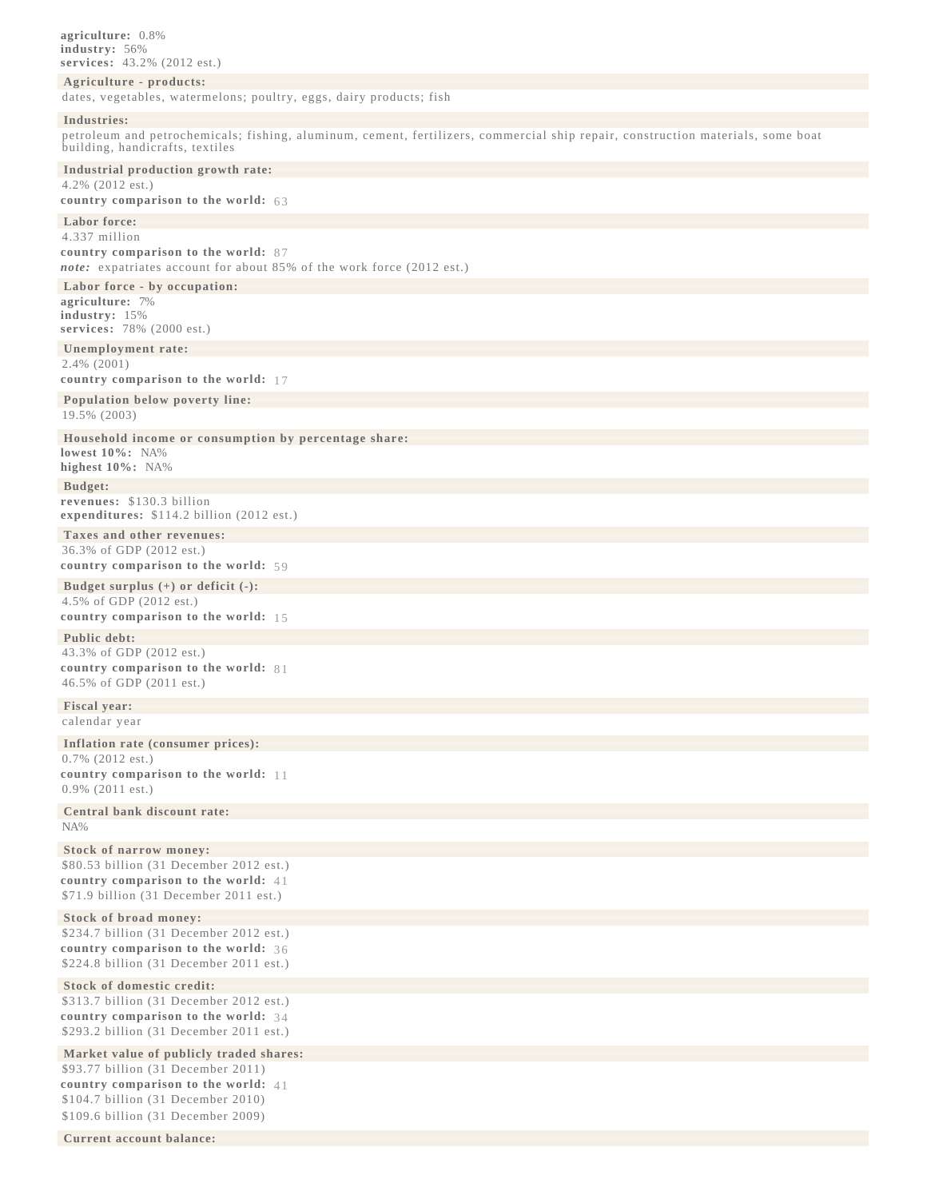**agriculture:** 0.8% **industry:** 56% **services:** 43.2% (2012 est.)

# **[Agriculture - products:](file:/data/1/apps/httpd/htdocs/client_review/WFB_template_2013/docs/notesanddefs.html?fieldkey=2052&alphaletter=A&term=Agriculture - products)**

dates, vegetables, watermelons; poultry, eggs, dairy products; fish

#### **[Industries:](file:/data/1/apps/httpd/htdocs/client_review/WFB_template_2013/docs/notesanddefs.html?fieldkey=2090&alphaletter=I&term=Industries)**

petroleum and petrochemicals; fishing, aluminum, cement, fertilizers, commercial ship repair, construction materials, some boat building, handicrafts, textiles

**[Industrial production growth rate:](file:/data/1/apps/httpd/htdocs/client_review/WFB_template_2013/docs/notesanddefs.html?fieldkey=2089&alphaletter=I&term=Industrial production growth rate)** 4.2% (2012 est.)

# **country comparison to the world:** [63](file:/data/1/apps/httpd/htdocs/client_review/WFB_template_2013/rankorder/2089rank.html?countryname=United Arab Emirates&countrycode=AE®ionCode=mde&rank=63#AE)

**[Labor force:](file:/data/1/apps/httpd/htdocs/client_review/WFB_template_2013/docs/notesanddefs.html?fieldkey=2095&alphaletter=L&term=Labor force)**

4.337 million **country comparison to the world:** [87](file:/data/1/apps/httpd/htdocs/client_review/WFB_template_2013/rankorder/2095rank.html?countryname=United Arab Emirates&countrycode=AE®ionCode=mde&rank=87#AE) 

*note:* expatriates account for about 85% of the work force (2012 est.)

**[Labor force - by occupation:](file:/data/1/apps/httpd/htdocs/client_review/WFB_template_2013/docs/notesanddefs.html?fieldkey=2048&alphaletter=L&term=Labor force - by occupation) agriculture:** 7% **industry:** 15% **services:** 78% (2000 est.)

**[Unemployment rate:](file:/data/1/apps/httpd/htdocs/client_review/WFB_template_2013/docs/notesanddefs.html?fieldkey=2129&alphaletter=U&term=Unemployment rate)** 2.4% (2001)

**country comparison to the world:** [17](file:/data/1/apps/httpd/htdocs/client_review/WFB_template_2013/rankorder/2129rank.html?countryname=United Arab Emirates&countrycode=AE®ionCode=mde&rank=17#AE) 

**[Population below poverty line:](file:/data/1/apps/httpd/htdocs/client_review/WFB_template_2013/docs/notesanddefs.html?fieldkey=2046&alphaletter=P&term=Population below poverty line)** 19.5% (2003)

**[Household income or consumption by percentage share:](file:/data/1/apps/httpd/htdocs/client_review/WFB_template_2013/docs/notesanddefs.html?fieldkey=2047&alphaletter=H&term=Household income or consumption by percentage share) lowest 10%:** NA%

**highest 10%:** NA%

**[Budget:](file:/data/1/apps/httpd/htdocs/client_review/WFB_template_2013/docs/notesanddefs.html?fieldkey=2056&alphaletter=B&term=Budget) revenues:** \$130.3 billion **expenditures:** \$114.2 billion (2012 est.)

**[Taxes and other revenues:](file:/data/1/apps/httpd/htdocs/client_review/WFB_template_2013/docs/notesanddefs.html?fieldkey=2221&alphaletter=T&term=Taxes and other revenues)** 36.3% of GDP (2012 est.) **country comparison to the world:** [59](file:/data/1/apps/httpd/htdocs/client_review/WFB_template_2013/rankorder/2221rank.html?countryname=United Arab Emirates&countrycode=AE®ionCode=mde&rank=59#AE) 

**[Budget surplus \(+\) or deficit \(-\):](file:/data/1/apps/httpd/htdocs/client_review/WFB_template_2013/docs/notesanddefs.html?fieldkey=2222&alphaletter=B&term=Budget surplus (+) or deficit (-))** 4.5% of GDP (2012 est.) **country comparison to the world:** [15](file:/data/1/apps/httpd/htdocs/client_review/WFB_template_2013/rankorder/2222rank.html?countryname=United Arab Emirates&countrycode=AE®ionCode=mde&rank=15#AE) 

# **[Public debt:](file:/data/1/apps/httpd/htdocs/client_review/WFB_template_2013/docs/notesanddefs.html?fieldkey=2186&alphaletter=P&term=Public debt)**

43.3% of GDP (2012 est.) **country comparison to the world:** [81](file:/data/1/apps/httpd/htdocs/client_review/WFB_template_2013/rankorder/2186rank.html?countryname=United Arab Emirates&countrycode=AE®ionCode=mde&rank=81#AE)  46.5% of GDP (2011 est.)

**[Fiscal year:](file:/data/1/apps/httpd/htdocs/client_review/WFB_template_2013/docs/notesanddefs.html?fieldkey=2080&alphaletter=F&term=Fiscal year)**

calendar year

**[Inflation rate \(consumer prices\):](file:/data/1/apps/httpd/htdocs/client_review/WFB_template_2013/docs/notesanddefs.html?fieldkey=2092&alphaletter=I&term=Inflation rate (consumer prices))** 0.7% (2012 est.) **country comparison to the world:** [11](file:/data/1/apps/httpd/htdocs/client_review/WFB_template_2013/rankorder/2092rank.html?countryname=United Arab Emirates&countrycode=AE®ionCode=mde&rank=11#AE)  0.9% (2011 est.)

**[Central bank discount rate:](file:/data/1/apps/httpd/htdocs/client_review/WFB_template_2013/docs/notesanddefs.html?fieldkey=2207&alphaletter=C&term=Central bank discount rate)** NA%

**[Stock of narrow money:](file:/data/1/apps/httpd/htdocs/client_review/WFB_template_2013/docs/notesanddefs.html?fieldkey=2214&alphaletter=S&term=Stock of narrow money)** \$80.53 billion (31 December 2012 est.) **country comparison to the world:** [41](file:/data/1/apps/httpd/htdocs/client_review/WFB_template_2013/rankorder/2214rank.html?countryname=United Arab Emirates&countrycode=AE®ionCode=mde&rank=41#AE)  \$71.9 billion (31 December 2011 est.)

**[Stock of broad money:](file:/data/1/apps/httpd/htdocs/client_review/WFB_template_2013/docs/notesanddefs.html?fieldkey=2215&alphaletter=S&term=Stock of broad money)** \$234.7 billion (31 December 2012 est.) **country comparison to the world:** [36](file:/data/1/apps/httpd/htdocs/client_review/WFB_template_2013/rankorder/2215rank.html?countryname=United Arab Emirates&countrycode=AE®ionCode=mde&rank=36#AE)  \$224.8 billion (31 December 2011 est.)

**[Stock of domestic credit:](file:/data/1/apps/httpd/htdocs/client_review/WFB_template_2013/docs/notesanddefs.html?fieldkey=2211&alphaletter=S&term=Stock of domestic credit)** \$313.7 billion (31 December 2012 est.) **country comparison to the world:** [34](file:/data/1/apps/httpd/htdocs/client_review/WFB_template_2013/rankorder/2211rank.html?countryname=United Arab Emirates&countrycode=AE®ionCode=mde&rank=34#AE)  \$293.2 billion (31 December 2011 est.)

**[Market value of publicly traded shares:](file:/data/1/apps/httpd/htdocs/client_review/WFB_template_2013/docs/notesanddefs.html?fieldkey=2200&alphaletter=M&term=Market value of publicly traded shares)**

\$93.77 billion (31 December 2011) **country comparison to the world:** [41](file:/data/1/apps/httpd/htdocs/client_review/WFB_template_2013/rankorder/2200rank.html?countryname=United Arab Emirates&countrycode=AE®ionCode=mde&rank=41#AE)  \$104.7 billion (31 December 2010) \$109.6 billion (31 December 2009)

**[Current account balance:](file:/data/1/apps/httpd/htdocs/client_review/WFB_template_2013/docs/notesanddefs.html?fieldkey=2187&alphaletter=C&term=Current account balance)**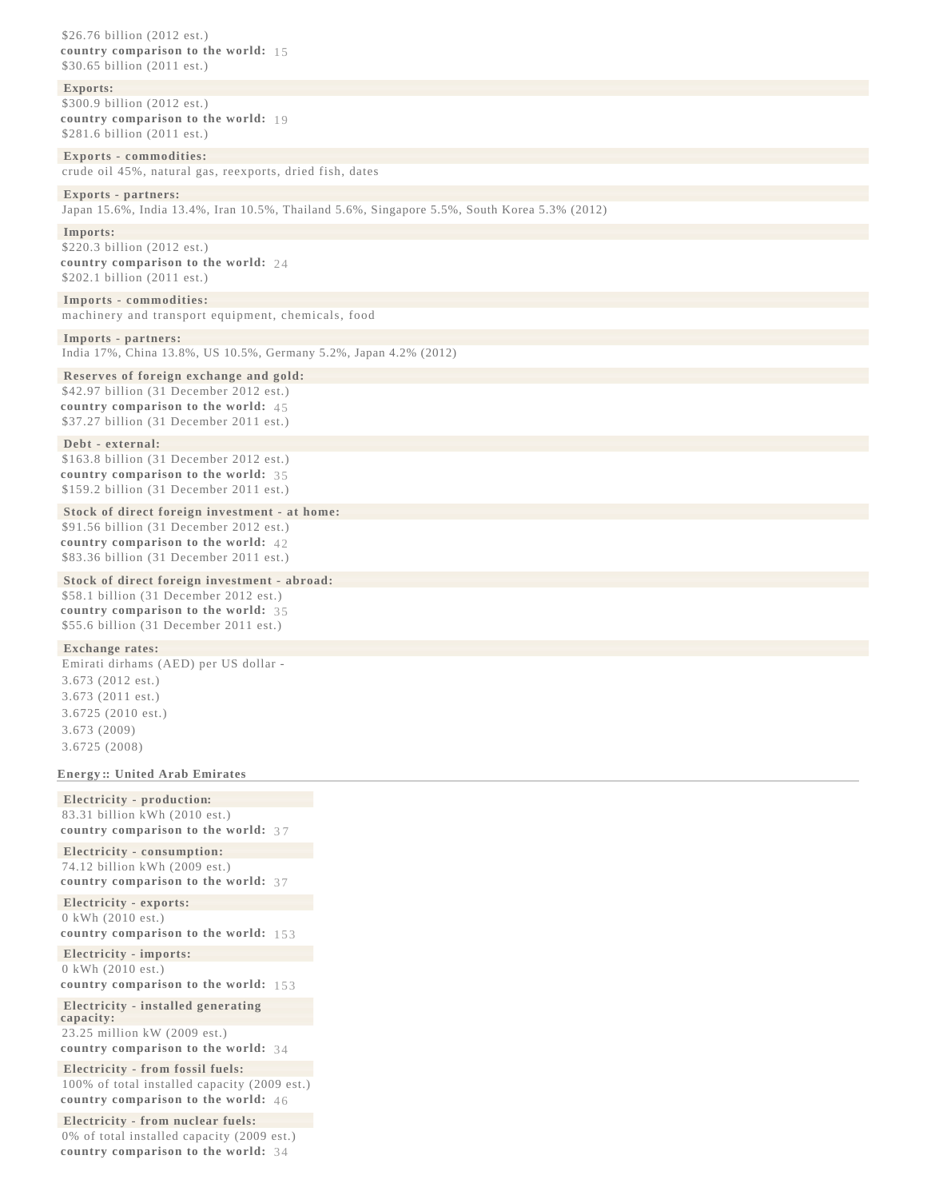\$26.76 billion (2012 est.) **country comparison to the world:** [15](file:/data/1/apps/httpd/htdocs/client_review/WFB_template_2013/rankorder/2187rank.html?countryname=United Arab Emirates&countrycode=AE®ionCode=mde&rank=15#AE)  \$30.65 billion (2011 est.)

#### **[Exports:](file:/data/1/apps/httpd/htdocs/client_review/WFB_template_2013/docs/notesanddefs.html?fieldkey=2078&alphaletter=E&term=Exports)**

\$300.9 billion (2012 est.) **country comparison to the world:** [19](file:/data/1/apps/httpd/htdocs/client_review/WFB_template_2013/rankorder/2078rank.html?countryname=United Arab Emirates&countrycode=AE®ionCode=mde&rank=19#AE)  \$281.6 billion (2011 est.)

# **[Exports - commodities:](file:/data/1/apps/httpd/htdocs/client_review/WFB_template_2013/docs/notesanddefs.html?fieldkey=2049&alphaletter=E&term=Exports - commodities)**

crude oil 45%, natural gas, reexports, dried fish, dates

### **[Exports - partners:](file:/data/1/apps/httpd/htdocs/client_review/WFB_template_2013/docs/notesanddefs.html?fieldkey=2050&alphaletter=E&term=Exports - partners)**

Japan 15.6%, India 13.4%, Iran 10.5%, Thailand 5.6%, Singapore 5.5%, South Korea 5.3% (2012)

# **[Imports:](file:/data/1/apps/httpd/htdocs/client_review/WFB_template_2013/docs/notesanddefs.html?fieldkey=2087&alphaletter=I&term=Imports)**

\$220.3 billion (2012 est.) **country comparison to the world:** [24](file:/data/1/apps/httpd/htdocs/client_review/WFB_template_2013/rankorder/2087rank.html?countryname=United Arab Emirates&countrycode=AE®ionCode=mde&rank=24#AE)  \$202.1 billion (2011 est.)

**[Imports - commodities:](file:/data/1/apps/httpd/htdocs/client_review/WFB_template_2013/docs/notesanddefs.html?fieldkey=2058&alphaletter=I&term=Imports - commodities)** machinery and transport equipment, chemicals, food

**[Imports - partners:](file:/data/1/apps/httpd/htdocs/client_review/WFB_template_2013/docs/notesanddefs.html?fieldkey=2061&alphaletter=I&term=Imports - partners)** India 17%, China 13.8%, US 10.5%, Germany 5.2%, Japan 4.2% (2012)

**[Reserves of foreign exchange and gold:](file:/data/1/apps/httpd/htdocs/client_review/WFB_template_2013/docs/notesanddefs.html?fieldkey=2188&alphaletter=R&term=Reserves of foreign exchange and gold)** \$42.97 billion (31 December 2012 est.) **country comparison to the world:** [45](file:/data/1/apps/httpd/htdocs/client_review/WFB_template_2013/rankorder/2188rank.html?countryname=United Arab Emirates&countrycode=AE®ionCode=mde&rank=45#AE)  \$37.27 billion (31 December 2011 est.)

### **[Debt - external:](file:/data/1/apps/httpd/htdocs/client_review/WFB_template_2013/docs/notesanddefs.html?fieldkey=2079&alphaletter=D&term=Debt - external)**

\$163.8 billion (31 December 2012 est.) **country comparison to the world:** [35](file:/data/1/apps/httpd/htdocs/client_review/WFB_template_2013/rankorder/2079rank.html?countryname=United Arab Emirates&countrycode=AE®ionCode=mde&rank=35#AE)  \$159.2 billion (31 December 2011 est.)

#### **[Stock of direct foreign investment - at home:](file:/data/1/apps/httpd/htdocs/client_review/WFB_template_2013/docs/notesanddefs.html?fieldkey=2198&alphaletter=S&term=Stock of direct foreign investment - at home)**

\$91.56 billion (31 December 2012 est.) **country comparison to the world:** [42](file:/data/1/apps/httpd/htdocs/client_review/WFB_template_2013/rankorder/2198rank.html?countryname=United Arab Emirates&countrycode=AE®ionCode=mde&rank=42#AE)  \$83.36 billion (31 December 2011 est.)

# **[Stock of direct foreign investment - abroad:](file:/data/1/apps/httpd/htdocs/client_review/WFB_template_2013/docs/notesanddefs.html?fieldkey=2199&alphaletter=S&term=Stock of direct foreign investment - abroad)**

\$58.1 billion (31 December 2012 est.) **country comparison to the world:** [35](file:/data/1/apps/httpd/htdocs/client_review/WFB_template_2013/rankorder/2199rank.html?countryname=United Arab Emirates&countrycode=AE®ionCode=mde&rank=35#AE)  \$55.6 billion (31 December 2011 est.)

### **[Exchange rates:](file:/data/1/apps/httpd/htdocs/client_review/WFB_template_2013/docs/notesanddefs.html?fieldkey=2076&alphaletter=E&term=Exchange rates)**

Emirati dirhams (AED) per US dollar - 3.673 (2012 est.) 3.673 (2011 est.) 3.6725 (2010 est.) 3.673 (2009) 3.6725 (2008)

### **[Energy ::](javascript:void();) [United Arab Emirates](javascript:void();)**

**[Electricity - production](file:/data/1/apps/httpd/htdocs/client_review/WFB_template_2013/docs/notesanddefs.html?fieldkey=2232&alphaletter=E&term=Electricity - production):**  83.31 billion kWh (2010 est.) **country comparison to the world:** [3 7](file:/data/1/apps/httpd/htdocs/client_review/WFB_template_2013/rankorder/2232rank.html?countryname=United Arab Emirates&countrycode=AE®ionCode=mde&rank=37#AE37)

**[Electricity - consumption:](file:/data/1/apps/httpd/htdocs/client_review/WFB_template_2013/docs/notesanddefs.html?fieldkey=2233&alphaletter=E&term=Electricity - consumption)** 74.12 billion kWh (2009 est.) **country comparison to the world:** [37](file:/data/1/apps/httpd/htdocs/client_review/WFB_template_2013/rankorder/2233rank.html?countryname=United Arab Emirates&countrycode=AE®ionCode=mde&rank=37#AE) 

**[Electricity - exports:](file:/data/1/apps/httpd/htdocs/client_review/WFB_template_2013/docs/notesanddefs.html?fieldkey=2234&alphaletter=E&term=Electricity - exports)** 0 kWh (2010 est.) **country comparison to the world:** [153](file:/data/1/apps/httpd/htdocs/client_review/WFB_template_2013/rankorder/2234rank.html?countryname=United Arab Emirates&countrycode=AE®ionCode=mde&rank=153#AE) 

**[Electricity - imports:](file:/data/1/apps/httpd/htdocs/client_review/WFB_template_2013/docs/notesanddefs.html?fieldkey=2235&alphaletter=E&term=Electricity - imports)**

0 kWh (2010 est.)

**country comparison to the world:** [153](file:/data/1/apps/httpd/htdocs/client_review/WFB_template_2013/rankorder/2235rank.html?countryname=United Arab Emirates&countrycode=AE®ionCode=mde&rank=153#AE) 

**[Electricity - installed generating](file:/data/1/apps/httpd/htdocs/client_review/WFB_template_2013/docs/notesanddefs.html?fieldkey=2236&alphaletter=E&term=Electricity - installed generating capacity) [capacity:](file:/data/1/apps/httpd/htdocs/client_review/WFB_template_2013/docs/notesanddefs.html?fieldkey=2236&alphaletter=E&term=Electricity - installed generating capacity)**

23.25 million kW (2009 est.) **country comparison to the world:** [34](file:/data/1/apps/httpd/htdocs/client_review/WFB_template_2013/rankorder/2236rank.html?countryname=United Arab Emirates&countrycode=AE®ionCode=mde&rank=34#AE) 

**[Electricity - from fossil fuels:](file:/data/1/apps/httpd/htdocs/client_review/WFB_template_2013/docs/notesanddefs.html?fieldkey=2237&alphaletter=E&term=Electricity - from fossil fuels)**

100% of total installed capacity (2009 est.) **country comparison to the world:** [46](file:/data/1/apps/httpd/htdocs/client_review/WFB_template_2013/rankorder/2237rank.html?countryname=United Arab Emirates&countrycode=AE®ionCode=mde&rank=46#AE) 

**[Electricity - from nuclear fuels:](file:/data/1/apps/httpd/htdocs/client_review/WFB_template_2013/docs/notesanddefs.html?fieldkey=2239&alphaletter=E&term=Electricity - from nuclear fuels)** 0% of total installed capacity (2009 est.) **country comparison to the world:** [34](file:/data/1/apps/httpd/htdocs/client_review/WFB_template_2013/rankorder/2239rank.html?countryname=United Arab Emirates&countrycode=AE®ionCode=mde&rank=34#AE)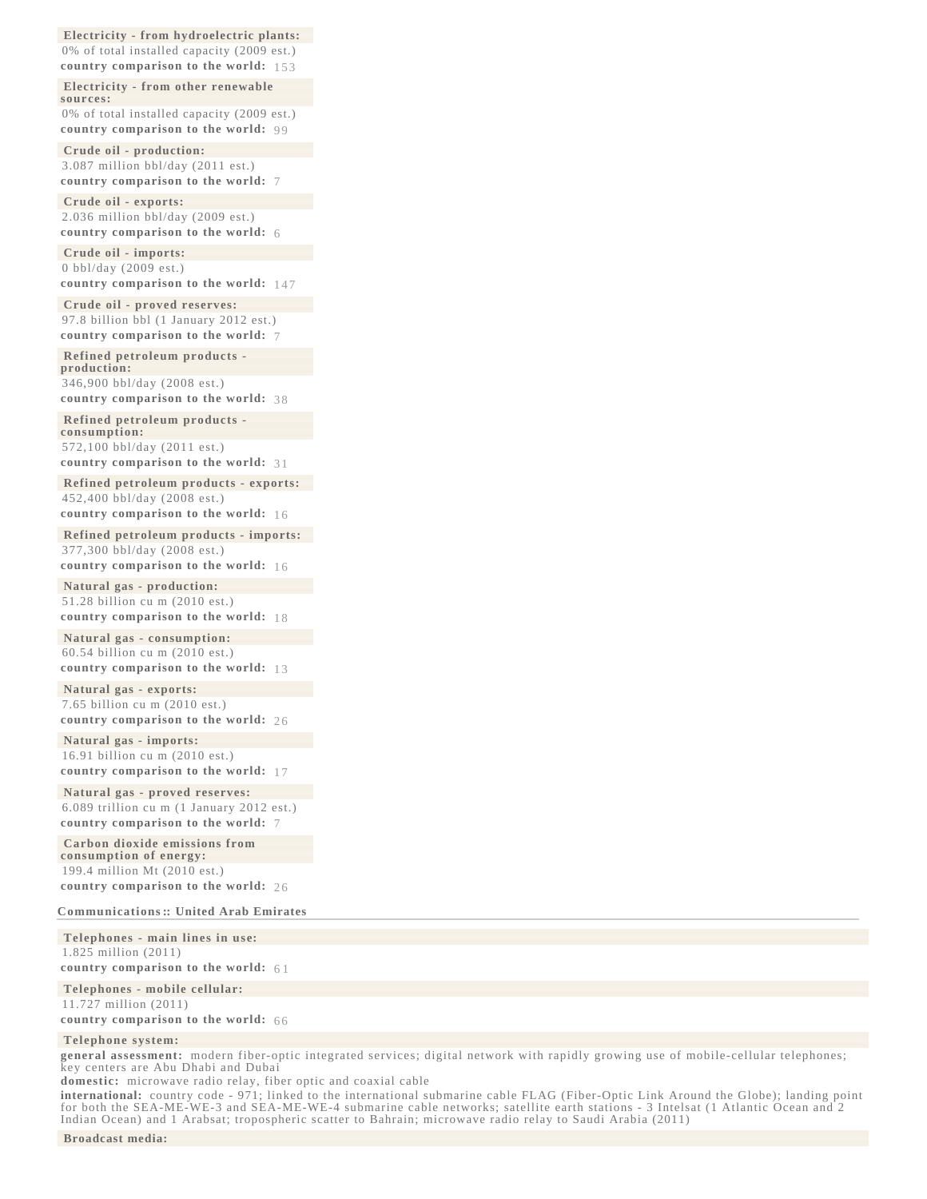**[Electricity - from hydroelectric plants:](file:/data/1/apps/httpd/htdocs/client_review/WFB_template_2013/docs/notesanddefs.html?fieldkey=2238&alphaletter=E&term=Electricity - from hydroelectric plants)** 0% of total installed capacity (2009 est.) **country comparison to the world:** [153](file:/data/1/apps/httpd/htdocs/client_review/WFB_template_2013/rankorder/2238rank.html?countryname=United Arab Emirates&countrycode=AE®ionCode=mde&rank=153#AE) 

**[Electricity - from other renewable](file:/data/1/apps/httpd/htdocs/client_review/WFB_template_2013/docs/notesanddefs.html?fieldkey=2240&alphaletter=E&term=Electricity - from other renewable sources) [sources:](file:/data/1/apps/httpd/htdocs/client_review/WFB_template_2013/docs/notesanddefs.html?fieldkey=2240&alphaletter=E&term=Electricity - from other renewable sources)** 0% of total installed capacity (2009 est.) **country comparison to the world:** [99](file:/data/1/apps/httpd/htdocs/client_review/WFB_template_2013/rankorder/2240rank.html?countryname=United Arab Emirates&countrycode=AE®ionCode=mde&rank=99#AE) 

**[Crude oil - production:](file:/data/1/apps/httpd/htdocs/client_review/WFB_template_2013/docs/notesanddefs.html?fieldkey=2241&alphaletter=C&term=Crude oil - production)** 3.087 million bbl/day (2011 est.) **country comparison to the world:** [7](file:/data/1/apps/httpd/htdocs/client_review/WFB_template_2013/rankorder/2241rank.html?countryname=United Arab Emirates&countrycode=AE®ionCode=mde&rank=7#AE) 

**[Crude oil - exports:](file:/data/1/apps/httpd/htdocs/client_review/WFB_template_2013/docs/notesanddefs.html?fieldkey=2242&alphaletter=C&term=Crude oil - exports)** 2.036 million bbl/day (2009 est.) **country comparison to the world:** [6](file:/data/1/apps/httpd/htdocs/client_review/WFB_template_2013/rankorder/2242rank.html?countryname=United Arab Emirates&countrycode=AE®ionCode=mde&rank=6#AE) 

**[Crude oil - imports:](file:/data/1/apps/httpd/htdocs/client_review/WFB_template_2013/docs/notesanddefs.html?fieldkey=2243&alphaletter=C&term=Crude oil - imports)** 0 bbl/day (2009 est.) **country comparison to the world:** [147](file:/data/1/apps/httpd/htdocs/client_review/WFB_template_2013/rankorder/2243rank.html?countryname=United Arab Emirates&countrycode=AE®ionCode=mde&rank=147#AE) 

**[Crude oil - proved reserves:](file:/data/1/apps/httpd/htdocs/client_review/WFB_template_2013/docs/notesanddefs.html?fieldkey=2244&alphaletter=C&term=Crude oil - proved reserves)** 97.8 billion bbl (1 January 2012 est.) **country comparison to the world:** [7](file:/data/1/apps/httpd/htdocs/client_review/WFB_template_2013/rankorder/2244rank.html?countryname=United Arab Emirates&countrycode=AE®ionCode=mde&rank=7#AE) 

**[Refined petroleum products](file:/data/1/apps/httpd/htdocs/client_review/WFB_template_2013/docs/notesanddefs.html?fieldkey=2245&alphaletter=R&term=Refined petroleum products - production)  [production:](file:/data/1/apps/httpd/htdocs/client_review/WFB_template_2013/docs/notesanddefs.html?fieldkey=2245&alphaletter=R&term=Refined petroleum products - production)**

346,900 bbl/day (2008 est.) **country comparison to the world:** [38](file:/data/1/apps/httpd/htdocs/client_review/WFB_template_2013/rankorder/2245rank.html?countryname=United Arab Emirates&countrycode=AE®ionCode=mde&rank=38#AE) 

**[Refined petroleum products](file:/data/1/apps/httpd/htdocs/client_review/WFB_template_2013/docs/notesanddefs.html?fieldkey=2246&alphaletter=R&term=Refined petroleum products - consumption)  [consumption:](file:/data/1/apps/httpd/htdocs/client_review/WFB_template_2013/docs/notesanddefs.html?fieldkey=2246&alphaletter=R&term=Refined petroleum products - consumption)**

572,100 bbl/day (2011 est.) **country comparison to the world:** [31](file:/data/1/apps/httpd/htdocs/client_review/WFB_template_2013/rankorder/2246rank.html?countryname=United Arab Emirates&countrycode=AE®ionCode=mde&rank=31#AE) 

**[Refined petroleum products - exports:](file:/data/1/apps/httpd/htdocs/client_review/WFB_template_2013/docs/notesanddefs.html?fieldkey=2247&alphaletter=R&term=Refined petroleum products - exports)** 452,400 bbl/day (2008 est.) **country comparison to the world:** [16](file:/data/1/apps/httpd/htdocs/client_review/WFB_template_2013/rankorder/2247rank.html?countryname=United Arab Emirates&countrycode=AE®ionCode=mde&rank=16#AE) 

**[Refined petroleum products - imports:](file:/data/1/apps/httpd/htdocs/client_review/WFB_template_2013/docs/notesanddefs.html?fieldkey=2248&alphaletter=R&term=Refined petroleum products - imports)** 377,300 bbl/day (2008 est.)

**country comparison to the world:** [16](file:/data/1/apps/httpd/htdocs/client_review/WFB_template_2013/rankorder/2248rank.html?countryname=United Arab Emirates&countrycode=AE®ionCode=mde&rank=16#AE) 

**[Natural gas - production:](file:/data/1/apps/httpd/htdocs/client_review/WFB_template_2013/docs/notesanddefs.html?fieldkey=2249&alphaletter=N&term=Natural gas - production)** 51.28 billion cu m (2010 est.) **country comparison to the world:** [18](file:/data/1/apps/httpd/htdocs/client_review/WFB_template_2013/rankorder/2249rank.html?countryname=United Arab Emirates&countrycode=AE®ionCode=mde&rank=18#AE) 

**[Natural gas - consumption:](file:/data/1/apps/httpd/htdocs/client_review/WFB_template_2013/docs/notesanddefs.html?fieldkey=2250&alphaletter=N&term=Natural gas - consumption)** 60.54 billion cu m (2010 est.) country comparison to the world: 13

**[Natural gas - exports:](file:/data/1/apps/httpd/htdocs/client_review/WFB_template_2013/docs/notesanddefs.html?fieldkey=2251&alphaletter=N&term=Natural gas - exports)** 7.65 billion cu m (2010 est.) **country comparison to the world:** [26](file:/data/1/apps/httpd/htdocs/client_review/WFB_template_2013/rankorder/2251rank.html?countryname=United Arab Emirates&countrycode=AE®ionCode=mde&rank=26#AE) 

**[Natural gas - imports:](file:/data/1/apps/httpd/htdocs/client_review/WFB_template_2013/docs/notesanddefs.html?fieldkey=2252&alphaletter=N&term=Natural gas - imports)** 16.91 billion cu m (2010 est.) **country comparison to the world:** [17](file:/data/1/apps/httpd/htdocs/client_review/WFB_template_2013/rankorder/2252rank.html?countryname=United Arab Emirates&countrycode=AE®ionCode=mde&rank=17#AE) 

**[Natural gas - proved reserves:](file:/data/1/apps/httpd/htdocs/client_review/WFB_template_2013/docs/notesanddefs.html?fieldkey=2253&alphaletter=N&term=Natural gas - proved reserves)** 6.089 trillion cu m (1 January 2012 est.) **country comparison to the world:** [7](file:/data/1/apps/httpd/htdocs/client_review/WFB_template_2013/rankorder/2253rank.html?countryname=United Arab Emirates&countrycode=AE®ionCode=mde&rank=7#AE) 

**[Carbon dioxide emissions from](file:/data/1/apps/httpd/htdocs/client_review/WFB_template_2013/docs/notesanddefs.html?fieldkey=2254&alphaletter=C&term=Carbon dioxide emissions from consumption of energy) [consumption of energy:](file:/data/1/apps/httpd/htdocs/client_review/WFB_template_2013/docs/notesanddefs.html?fieldkey=2254&alphaletter=C&term=Carbon dioxide emissions from consumption of energy)** 199.4 million Mt (2010 est.) **country comparison to the world:** [26](file:/data/1/apps/httpd/htdocs/client_review/WFB_template_2013/rankorder/2254rank.html?countryname=United Arab Emirates&countrycode=AE®ionCode=mde&rank=26#AE) 

**[Communications ::](javascript:void();) [United Arab Emirates](javascript:void();)**

**[Telephones - main lines in use](file:/data/1/apps/httpd/htdocs/client_review/WFB_template_2013/docs/notesanddefs.html?fieldkey=2150&alphaletter=T&term=Telephones - main lines in use):**  1.825 million (2011) **country comparison to the world:** [6 1](file:/data/1/apps/httpd/htdocs/client_review/WFB_template_2013/rankorder/2150rank.html?countryname=United Arab Emirates&countrycode=AE®ionCode=mde&rank=61#AE61)

**[Telephones - mobile cellular:](file:/data/1/apps/httpd/htdocs/client_review/WFB_template_2013/docs/notesanddefs.html?fieldkey=2151&alphaletter=T&term=Telephones - mobile cellular)** 11.727 million (2011)

**country comparison to the world:** [66](file:/data/1/apps/httpd/htdocs/client_review/WFB_template_2013/rankorder/2151rank.html?countryname=United Arab Emirates&countrycode=AE®ionCode=mde&rank=66#AE) 

# **[Telephone system:](file:/data/1/apps/httpd/htdocs/client_review/WFB_template_2013/docs/notesanddefs.html?fieldkey=2124&alphaletter=T&term=Telephone system)**

**general assessment:** modern fiber-optic integrated services; digital network with rapidly growing use of mobile-cellular telephones; key centers are Abu Dhabi and Dubai

**domestic:** microwave radio relay, fiber optic and coaxial cable

**international:** country code - 971; linked to the international submarine cable FLAG (Fiber-Optic Link Around the Globe); landing point for both the SEA-ME-WE-3 and SEA-ME-WE-4 submarine cable networks; satellite earth stations - 3 Intelsat (1 Atlantic Ocean and 2 Indian Ocean) and 1 Arabsat; tropospheric scatter to Bahrain; microwave radio relay to Saudi Arabia (2011)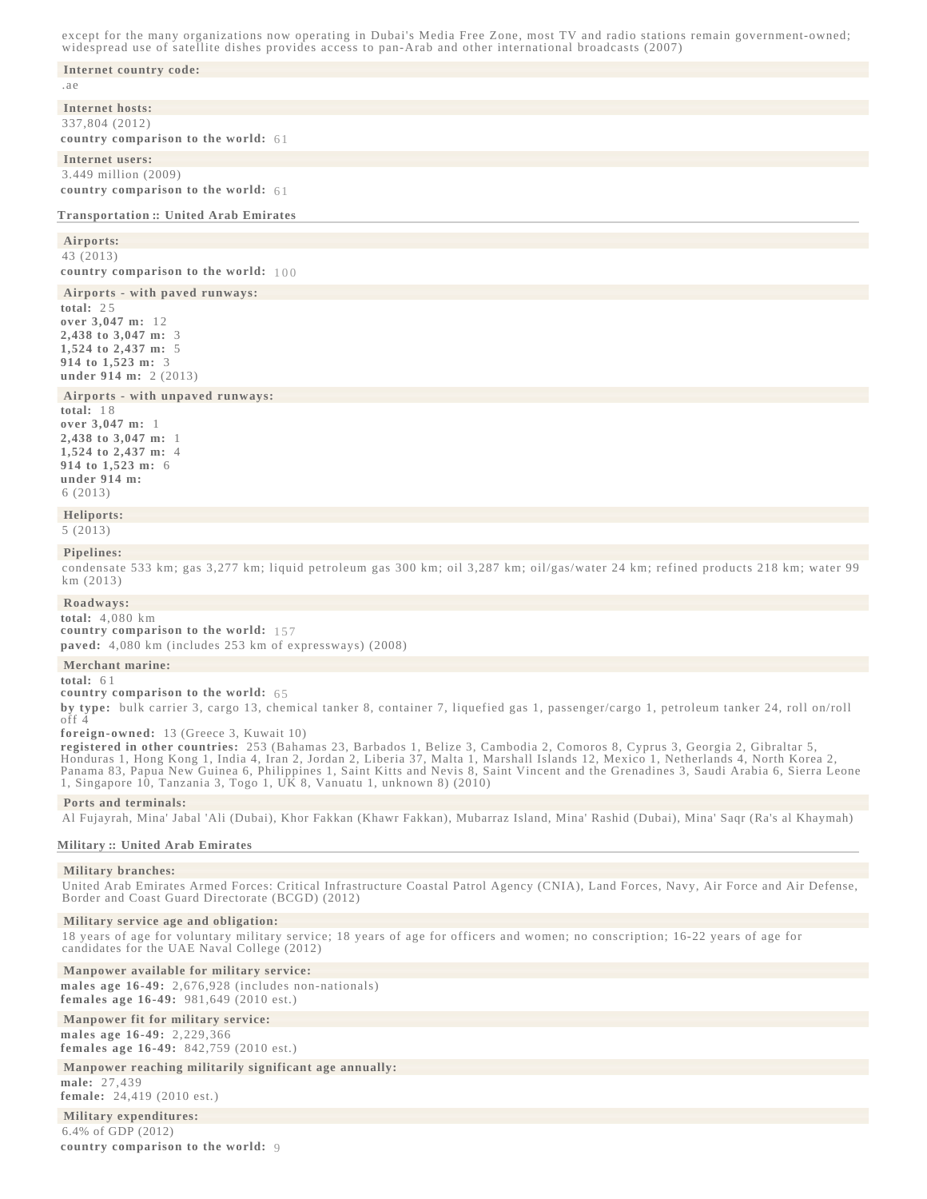except for the many organizations now operating in Dubai's Media Free Zone, most TV and radio stations remain government-owned; widespread use of satellite dishes provides access to pan-Arab and other international broadcasts (2007)

#### **[Internet country code:](file:/data/1/apps/httpd/htdocs/client_review/WFB_template_2013/docs/notesanddefs.html?fieldkey=2154&alphaletter=I&term=Internet country code)**

.ae

**[Internet hosts:](file:/data/1/apps/httpd/htdocs/client_review/WFB_template_2013/docs/notesanddefs.html?fieldkey=2184&alphaletter=I&term=Internet hosts)** 337,804 (2012) **country comparison to the world:** [61](file:/data/1/apps/httpd/htdocs/client_review/WFB_template_2013/rankorder/2184rank.html?countryname=United Arab Emirates&countrycode=AE®ionCode=mde&rank=61#AE) 

# **[Internet users:](file:/data/1/apps/httpd/htdocs/client_review/WFB_template_2013/docs/notesanddefs.html?fieldkey=2153&alphaletter=I&term=Internet users)**

3.449 million (2009) **country comparison to the world:** [61](file:/data/1/apps/httpd/htdocs/client_review/WFB_template_2013/rankorder/2153rank.html?countryname=United Arab Emirates&countrycode=AE®ionCode=mde&rank=61#AE) 

# **[Transportation ::](javascript:void();) [United Arab Emirates](javascript:void();)**

# **[Airports](file:/data/1/apps/httpd/htdocs/client_review/WFB_template_2013/docs/notesanddefs.html?fieldkey=2053&alphaletter=A&term=Airports):**

43 (2013) **country comparison to the world:** [100](file:/data/1/apps/httpd/htdocs/client_review/WFB_template_2013/rankorder/2053rank.html?countryname=United Arab Emirates&countrycode=AE®ionCode=mde&rank=100#AE100)

**[Airports - with paved runways:](file:/data/1/apps/httpd/htdocs/client_review/WFB_template_2013/docs/notesanddefs.html?fieldkey=2030&alphaletter=A&term=Airports - with paved runways)**

**total:** 2 5 **over 3,047 m:** 12 **2,438 to 3,047 m:** 3 **1,524 to 2,437 m:** 5 **914 to 1,523 m:** 3 **under 914 m:** 2 (2013)

# **[Airports - with unpaved runways:](file:/data/1/apps/httpd/htdocs/client_review/WFB_template_2013/docs/notesanddefs.html?fieldkey=2031&alphaletter=A&term=Airports - with unpaved runways)**

**total:** 1 8 **over 3,047 m:** 1 **2,438 to 3,047 m:** 1 **1,524 to 2,437 m:** 4 **914 to 1,523 m:** 6 **under 914 m:**  6 (2013)

# **[Heliports:](file:/data/1/apps/httpd/htdocs/client_review/WFB_template_2013/docs/notesanddefs.html?fieldkey=2019&alphaletter=H&term=Heliports)**

5 (2013)

### **[Pipelines:](file:/data/1/apps/httpd/htdocs/client_review/WFB_template_2013/docs/notesanddefs.html?fieldkey=2117&alphaletter=P&term=Pipelines)**

condensate 533 km; gas 3,277 km; liquid petroleum gas 300 km; oil 3,287 km; oil/gas/water 24 km; refined products 218 km; water 99 km (2013)

# **[Roadways:](file:/data/1/apps/httpd/htdocs/client_review/WFB_template_2013/docs/notesanddefs.html?fieldkey=2085&alphaletter=R&term=Roadways)**

**total:** 4,080 km **country comparison to the world:** [157](file:/data/1/apps/httpd/htdocs/client_review/WFB_template_2013/rankorder/2085rank.html?countryname=United Arab Emirates&countrycode=AE®ionCode=mde&rank=157#AE)  **paved:** 4,080 km (includes 253 km of expressways) (2008)

#### **[Merchant marine:](file:/data/1/apps/httpd/htdocs/client_review/WFB_template_2013/docs/notesanddefs.html?fieldkey=2108&alphaletter=M&term=Merchant marine)**

**total:** 6 1

**country comparison to the world:** [65](file:/data/1/apps/httpd/htdocs/client_review/WFB_template_2013/rankorder/2108rank.html?countryname=United Arab Emirates&countrycode=AE®ionCode=mde&rank=65#AE) 

**by type:** bulk carrier 3, cargo 13, chemical tanker 8, container 7, liquefied gas 1, passenger/cargo 1, petroleum tanker 24, roll on/roll off 4

## **foreign-owned:** 13 (Greece 3, Kuwait 10)

**registered in other countries:** 253 (Bahamas 23, Barbados 1, Belize 3, Cambodia 2, Comoros 8, Cyprus 3, Georgia 2, Gibraltar 5, Honduras 1, Hong Kong 1, India 4, Iran 2, Jordan 2, Liberia 37, Malta 1, Marshall Islands 12, Mexico 1, Netherlands 4, North Korea 2, Panama 83, Papua New Guinea 6, Philippines 1, Saint Kitts and Nevis 8, Saint Vincent and the Grenadines 3, Saudi Arabia 6, Sierra Leone 1, Singapore 10, Tanzania 3, Togo 1, UK 8, Vanuatu 1, unknown 8)  $(2010)$ 

### **[Ports and terminals:](file:/data/1/apps/httpd/htdocs/client_review/WFB_template_2013/docs/notesanddefs.html?fieldkey=2120&alphaletter=P&term=Ports and terminals)**

Al Fujayrah, Mina' Jabal 'Ali (Dubai), Khor Fakkan (Khawr Fakkan), Mubarraz Island, Mina' Rashid (Dubai), Mina' Saqr (Ra's al Khaymah)

## **[Military ::](javascript:void();) [United Arab Emirates](javascript:void();)**

### **[Military branches](file:/data/1/apps/httpd/htdocs/client_review/WFB_template_2013/docs/notesanddefs.html?fieldkey=2055&alphaletter=M&term=Military branches):**

United Arab Emirates Armed Forces: Critical Infrastructure Coastal Patrol Agency (CNIA), Land Forces, Navy, Air Force and Air Defense, Border and Coast Guard Directorate (BCGD) (2012)

# **[Military service age and obligation:](file:/data/1/apps/httpd/htdocs/client_review/WFB_template_2013/docs/notesanddefs.html?fieldkey=2024&alphaletter=M&term=Military service age and obligation)**

18 years of age for voluntary military service; 18 years of age for officers and women; no conscription; 16-22 years of age for candidates for the UAE Naval College (2012)

# **[Manpower available for military service:](file:/data/1/apps/httpd/htdocs/client_review/WFB_template_2013/docs/notesanddefs.html?fieldkey=2105&alphaletter=M&term=Manpower available for military service)**

**males age 16-49:** 2,676,928 (includes non-nationals) **females age 16-49:** 981,649 (2010 est.)

# **[Manpower fit for military service:](file:/data/1/apps/httpd/htdocs/client_review/WFB_template_2013/docs/notesanddefs.html?fieldkey=2025&alphaletter=M&term=Manpower fit for military service)**

**males age 16-49:** 2,229,366

**females age 16-49:** 842,759 (2010 est.)

# **[Manpower reaching militarily significant age annually:](file:/data/1/apps/httpd/htdocs/client_review/WFB_template_2013/docs/notesanddefs.html?fieldkey=2026&alphaletter=M&term=Manpower reaching militarily significant age annually)**

**male:** 27,439 **female:** 24,419 (2010 est.)

#### **[Military expenditures:](file:/data/1/apps/httpd/htdocs/client_review/WFB_template_2013/docs/notesanddefs.html?fieldkey=2034&alphaletter=M&term=Military expenditures)** 6.4% of GDP (2012)

**country comparison to the world:** [9](file:/data/1/apps/httpd/htdocs/client_review/WFB_template_2013/rankorder/2034rank.html?countryname=United Arab Emirates&countrycode=AE®ionCode=mde&rank=9#AE)